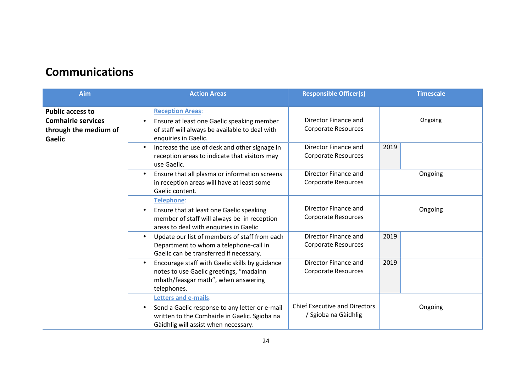# **Communications**

| Aim                                                                                            | <b>Action Areas</b>                                                                                                                                                                 | <b>Responsible Officer(s)</b>                                | <b>Timescale</b> |
|------------------------------------------------------------------------------------------------|-------------------------------------------------------------------------------------------------------------------------------------------------------------------------------------|--------------------------------------------------------------|------------------|
| <b>Public access to</b><br><b>Comhairle services</b><br>through the medium of<br><b>Gaelic</b> | <b>Reception Areas:</b><br>Ensure at least one Gaelic speaking member<br>$\bullet$<br>of staff will always be available to deal with<br>enquiries in Gaelic.                        | Director Finance and<br><b>Corporate Resources</b>           | Ongoing          |
|                                                                                                | Increase the use of desk and other signage in<br>$\bullet$<br>reception areas to indicate that visitors may<br>use Gaelic.                                                          | Director Finance and<br><b>Corporate Resources</b>           | 2019             |
|                                                                                                | Ensure that all plasma or information screens<br>$\bullet$<br>in reception areas will have at least some<br>Gaelic content.                                                         | Director Finance and<br><b>Corporate Resources</b>           | Ongoing          |
|                                                                                                | <b>Telephone:</b><br>Ensure that at least one Gaelic speaking<br>$\bullet$<br>member of staff will always be in reception<br>areas to deal with enquiries in Gaelic                 | Director Finance and<br><b>Corporate Resources</b>           | Ongoing          |
|                                                                                                | Update our list of members of staff from each<br>$\bullet$<br>Department to whom a telephone-call in<br>Gaelic can be transferred if necessary.                                     | Director Finance and<br><b>Corporate Resources</b>           | 2019             |
|                                                                                                | Encourage staff with Gaelic skills by guidance<br>$\bullet$<br>notes to use Gaelic greetings, "madainn<br>mhath/feasgar math", when answering<br>telephones.                        | Director Finance and<br><b>Corporate Resources</b>           | 2019             |
|                                                                                                | <b>Letters and e-mails:</b><br>Send a Gaelic response to any letter or e-mail<br>$\bullet$<br>written to the Comhairle in Gaelic. Sgioba na<br>Gàidhlig will assist when necessary. | <b>Chief Executive and Directors</b><br>/ Sgioba na Gàidhlig | Ongoing          |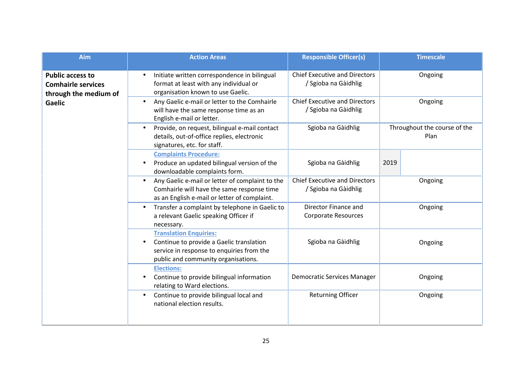| <b>Aim</b>                                                                    | <b>Action Areas</b>                                                                                                                                                        | <b>Responsible Officer(s)</b>                                | <b>Timescale</b>                     |
|-------------------------------------------------------------------------------|----------------------------------------------------------------------------------------------------------------------------------------------------------------------------|--------------------------------------------------------------|--------------------------------------|
| <b>Public access to</b><br><b>Comhairle services</b><br>through the medium of | Initiate written correspondence in bilingual<br>$\bullet$<br>format at least with any individual or<br>organisation known to use Gaelic.                                   | <b>Chief Executive and Directors</b><br>/ Sgioba na Gàidhlig | Ongoing                              |
| <b>Gaelic</b>                                                                 | Any Gaelic e-mail or letter to the Comhairle<br>$\bullet$<br>will have the same response time as an<br>English e-mail or letter.                                           | <b>Chief Executive and Directors</b><br>/ Sgioba na Gàidhlig | Ongoing                              |
|                                                                               | Provide, on request, bilingual e-mail contact<br>$\bullet$<br>details, out-of-office replies, electronic<br>signatures, etc. for staff.                                    | Sgioba na Gàidhlig                                           | Throughout the course of the<br>Plan |
|                                                                               | <b>Complaints Procedure:</b><br>Produce an updated bilingual version of the<br>$\bullet$<br>downloadable complaints form.                                                  | Sgioba na Gàidhlig                                           | 2019                                 |
|                                                                               | Any Gaelic e-mail or letter of complaint to the<br>$\bullet$<br>Comhairle will have the same response time<br>as an English e-mail or letter of complaint.                 | <b>Chief Executive and Directors</b><br>/ Sgioba na Gàidhlig | Ongoing                              |
|                                                                               | Transfer a complaint by telephone in Gaelic to<br>$\bullet$<br>a relevant Gaelic speaking Officer if<br>necessary.                                                         | Director Finance and<br><b>Corporate Resources</b>           | Ongoing                              |
|                                                                               | <b>Translation Enquiries:</b><br>Continue to provide a Gaelic translation<br>$\bullet$<br>service in response to enquiries from the<br>public and community organisations. | Sgioba na Gàidhlig                                           | Ongoing                              |
|                                                                               | <b>Elections:</b><br>Continue to provide bilingual information<br>$\bullet$<br>relating to Ward elections.                                                                 | <b>Democratic Services Manager</b>                           | Ongoing                              |
|                                                                               | Continue to provide bilingual local and<br>$\bullet$<br>national election results.                                                                                         | <b>Returning Officer</b>                                     | Ongoing                              |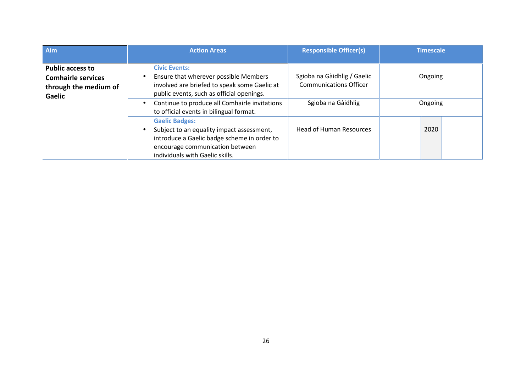| Aim                                                                                            | <b>Action Areas</b>                                                                                                                                                                     | <b>Responsible Officer(s)</b>                                | <b>Timescale</b> |
|------------------------------------------------------------------------------------------------|-----------------------------------------------------------------------------------------------------------------------------------------------------------------------------------------|--------------------------------------------------------------|------------------|
| <b>Public access to</b><br><b>Comhairle services</b><br>through the medium of<br><b>Gaelic</b> | <b>Civic Events:</b><br>Ensure that wherever possible Members<br>involved are briefed to speak some Gaelic at<br>public events, such as official openings.                              | Sgioba na Gàidhlig / Gaelic<br><b>Communications Officer</b> | Ongoing          |
|                                                                                                | Continue to produce all Comhairle invitations<br>$\bullet$<br>to official events in bilingual format.                                                                                   | Sgioba na Gàidhlig                                           | Ongoing          |
|                                                                                                | <b>Gaelic Badges:</b><br>Subject to an equality impact assessment,<br>introduce a Gaelic badge scheme in order to<br>encourage communication between<br>individuals with Gaelic skills. | <b>Head of Human Resources</b>                               | 2020             |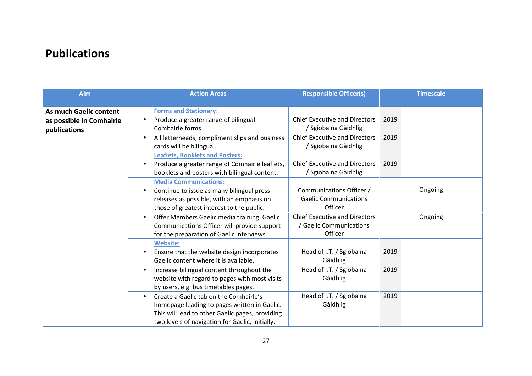# **Publications**

| Aim                                                                       | <b>Action Areas</b>                                                                                                                                                                                       | <b>Responsible Officer(s)</b>                                              | <b>Timescale</b> |
|---------------------------------------------------------------------------|-----------------------------------------------------------------------------------------------------------------------------------------------------------------------------------------------------------|----------------------------------------------------------------------------|------------------|
| <b>As much Gaelic content</b><br>as possible in Comhairle<br>publications | <b>Forms and Stationery:</b><br>Produce a greater range of bilingual<br>Comhairle forms.                                                                                                                  | <b>Chief Executive and Directors</b><br>/ Sgioba na Gàidhlig               | 2019             |
|                                                                           | All letterheads, compliment slips and business<br>$\bullet$<br>cards will be bilingual.                                                                                                                   | <b>Chief Executive and Directors</b><br>/ Sgioba na Gàidhlig               | 2019             |
|                                                                           | <b>Leaflets, Booklets and Posters:</b><br>Produce a greater range of Comhairle leaflets,<br>booklets and posters with bilingual content.                                                                  | <b>Chief Executive and Directors</b><br>/ Sgioba na Gàidhlig               | 2019             |
|                                                                           | <b>Media Communications:</b><br>Continue to issue as many bilingual press<br>$\bullet$<br>releases as possible, with an emphasis on<br>those of greatest interest to the public.                          | Communications Officer /<br><b>Gaelic Communications</b><br>Officer        | Ongoing          |
|                                                                           | Offer Members Gaelic media training. Gaelic<br>$\bullet$<br>Communications Officer will provide support<br>for the preparation of Gaelic interviews.                                                      | <b>Chief Executive and Directors</b><br>/ Gaelic Communications<br>Officer | Ongoing          |
|                                                                           | <b>Website:</b><br>Ensure that the website design incorporates<br>Gaelic content where it is available.                                                                                                   | Head of I.T. / Sgioba na<br>Gàidhlig                                       | 2019             |
|                                                                           | Increase bilingual content throughout the<br>$\bullet$<br>website with regard to pages with most visits<br>by users, e.g. bus timetables pages.                                                           | Head of I.T. / Sgioba na<br>Gàidhlig                                       | 2019             |
|                                                                           | Create a Gaelic tab on the Comhairle's<br>$\bullet$<br>homepage leading to pages written in Gaelic.<br>This will lead to other Gaelic pages, providing<br>two levels of navigation for Gaelic, initially. | Head of I.T. / Sgioba na<br>Gàidhlig                                       | 2019             |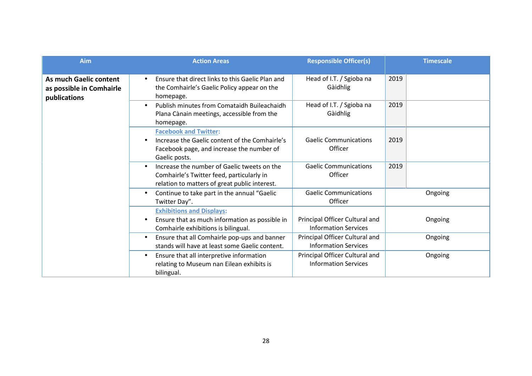| Aim                                                                | <b>Action Areas</b>                                                                                                                                    | <b>Responsible Officer(s)</b>                                 | <b>Timescale</b> |
|--------------------------------------------------------------------|--------------------------------------------------------------------------------------------------------------------------------------------------------|---------------------------------------------------------------|------------------|
| As much Gaelic content<br>as possible in Comhairle<br>publications | Ensure that direct links to this Gaelic Plan and<br>$\bullet$<br>the Comhairle's Gaelic Policy appear on the<br>homepage.                              | Head of I.T. / Sgioba na<br>Gàidhlig                          | 2019             |
|                                                                    | Publish minutes from Comataidh Buileachaidh<br>$\bullet$<br>Plana Cànain meetings, accessible from the<br>homepage.                                    | Head of I.T. / Sgioba na<br>Gàidhlig                          | 2019             |
|                                                                    | <b>Facebook and Twitter:</b><br>Increase the Gaelic content of the Comhairle's<br>Facebook page, and increase the number of<br>Gaelic posts.           | <b>Gaelic Communications</b><br>Officer                       | 2019             |
|                                                                    | Increase the number of Gaelic tweets on the<br>$\bullet$<br>Comhairle's Twitter feed, particularly in<br>relation to matters of great public interest. | <b>Gaelic Communications</b><br>Officer                       | 2019             |
|                                                                    | Continue to take part in the annual "Gaelic<br>$\bullet$<br>Twitter Day".                                                                              | <b>Gaelic Communications</b><br>Officer                       | Ongoing          |
|                                                                    | <b>Exhibitions and Displays:</b><br>Ensure that as much information as possible in<br>$\bullet$<br>Comhairle exhibitions is bilingual.                 | Principal Officer Cultural and<br><b>Information Services</b> | Ongoing          |
|                                                                    | Ensure that all Comhairle pop-ups and banner<br>$\bullet$<br>stands will have at least some Gaelic content.                                            | Principal Officer Cultural and<br><b>Information Services</b> | Ongoing          |
|                                                                    | Ensure that all interpretive information<br>$\bullet$<br>relating to Museum nan Eilean exhibits is<br>bilingual.                                       | Principal Officer Cultural and<br><b>Information Services</b> | Ongoing          |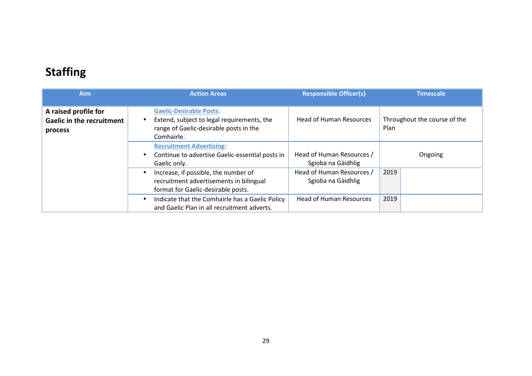# **Staffing**

| <b>Aim</b>                                                          | <b>Action Areas</b>                                                                                                                  | <b>Responsible Officer(s)</b>                   | Timescale                            |
|---------------------------------------------------------------------|--------------------------------------------------------------------------------------------------------------------------------------|-------------------------------------------------|--------------------------------------|
| A raised profile for<br><b>Gaelic in the recruitment</b><br>process | <b>Gaelic-Desirable Posts:</b><br>Extend, subject to legal requirements, the<br>range of Gaelic-desirable posts in the<br>Comhairle. | <b>Head of Human Resources</b>                  | Throughout the course of the<br>Plan |
|                                                                     | <b>Recruitment Advertising:</b><br>Continue to advertise Gaelic-essential posts in<br>Gaelic only.                                   | Head of Human Resources /<br>Sgioba na Gàidhlig | Ongoing                              |
|                                                                     | Increase, if possible, the number of<br>recruitment advertisements in bilingual<br>format for Gaelic-desirable posts.                | Head of Human Resources /<br>Sgioba na Gàidhlig | 2019                                 |
|                                                                     | Indicate that the Comhairle has a Gaelic Policy<br>and Gaelic Plan in all recruitment adverts.                                       | <b>Head of Human Resources</b>                  | 2019                                 |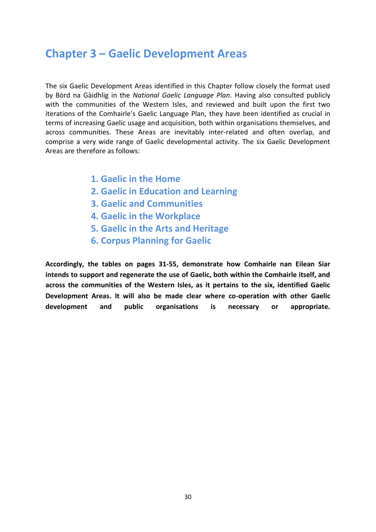### **Chapter 3 – Gaelic Development Areas**

The six Gaelic Development Areas identified in this Chapter follow closely the format used by Bòrd na Gàidhlig in the *National Gaelic Language Plan*. Having also consulted publicly with the communities of the Western Isles, and reviewed and built upon the first two iterations of the Comhairle's Gaelic Language Plan, they have been identified as crucial in terms of increasing Gaelic usage and acquisition, both within organisations themselves, and across communities. These Areas are inevitably inter-related and often overlap, and comprise a very wide range of Gaelic developmental activity. The six Gaelic Development Areas are therefore as follows:

- **1. Gaelic in the Home**
- **2. Gaelic in Education and Learning**
- **3. Gaelic and Communities**
- **4. Gaelic in the Workplace**
- **5. Gaelic in the Arts and Heritage**
- **6. Corpus Planning for Gaelic**

**Accordingly, the tables on pages 31-55, demonstrate how Comhairle nan Eilean Siar intends to support and regenerate the use of Gaelic, both within the Comhairle itself, and across the communities of the Western Isles, as it pertains to the six, identified Gaelic Development Areas. It will also be made clear where co-operation with other Gaelic development and public organisations is necessary or appropriate.**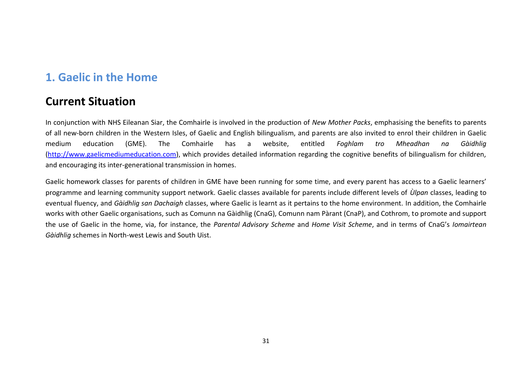# **1. Gaelic in the Home**

## **Current Situation**

In conjunction with NHS Eileanan Siar, the Comhairle is involved in the production of *New Mother Packs*, emphasising the benefits to parents of all new-born children in the Western Isles, of Gaelic and English bilingualism, and parents are also invited to enrol their children in Gaelic medium education (GME). The Comhairle has a website, entitled *Foghlam tro Mheadhan na Gàidhlig* (http://www.gaelicmediumeducation.com), which provides detailed information regarding the cognitive benefits of bilingualism for children, and encouraging its inter-generational transmission in homes.

Gaelic homework classes for parents of children in GME have been running for some time, and every parent has access to a Gaelic learners' programme and learning community support network. Gaelic classes available for parents include different levels of *Ùlpan* classes, leading to eventual fluency, and *Gàidhlig san Dachaigh* classes, where Gaelic is learnt as it pertains to the home environment. In addition, the Comhairle works with other Gaelic organisations, such as Comunn na Gàidhlig (CnaG), Comunn nam Pàrant (CnaP), and Cothrom, to promote and support the use of Gaelic in the home, via, for instance, the *Parental Advisory Scheme* and *Home Visit Scheme*, and in terms of CnaG's *Iomairtean Gàidhlig* schemes in North-west Lewis and South Uist.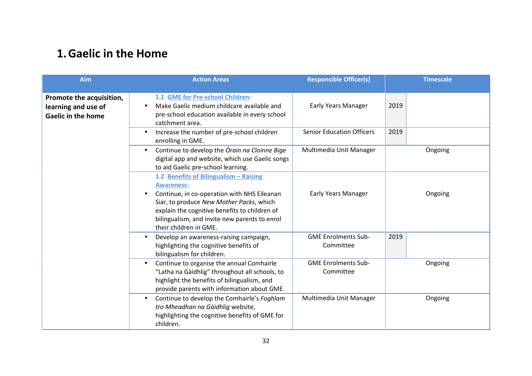# **1.Gaelic in the Home**

| <b>Aim</b>                                                                   | <b>Action Areas</b>                                                                                                                                                                                                                                                                | <b>Responsible Officer(s)</b>           | <b>Timescale</b> |
|------------------------------------------------------------------------------|------------------------------------------------------------------------------------------------------------------------------------------------------------------------------------------------------------------------------------------------------------------------------------|-----------------------------------------|------------------|
| Promote the acquisition,<br>learning and use of<br><b>Gaelic in the home</b> | 1.1 GME for Pre-school Children:<br>Make Gaelic medium childcare available and<br>$\bullet$<br>pre-school education available in every school<br>catchment area.                                                                                                                   | Early Years Manager                     | 2019             |
|                                                                              | Increase the number of pre-school children<br>$\bullet$<br>enrolling in GME.                                                                                                                                                                                                       | <b>Senior Education Officers</b>        | 2019             |
|                                                                              | Continue to develop the Orain na Cloinne Bige<br>$\bullet$<br>digital app and website, which use Gaelic songs<br>to aid Gaelic pre-school learning.                                                                                                                                | Multimedia Unit Manager                 | Ongoing          |
|                                                                              | 1.2 Benefits of Bilingualism - Raising<br><b>Awareness:</b><br>Continue, in co-operation with NHS Eileanan<br>Siar, to produce New Mother Packs, which<br>explain the cognitive benefits to children of<br>bilingualism, and invite new parents to enrol<br>their children in GME. | Early Years Manager                     | Ongoing          |
|                                                                              | Develop an awareness-raising campaign,<br>$\bullet$<br>highlighting the cognitive benefits of<br>bilingualism for children.                                                                                                                                                        | <b>GME Enrolments Sub-</b><br>Committee | 2019             |
|                                                                              | Continue to organise the annual Comhairle<br>$\bullet$<br>"Latha na Gàidhlig" throughout all schools, to<br>highlight the benefits of bilingualism, and<br>provide parents with information about GME.                                                                             | <b>GME Enrolments Sub-</b><br>Committee | Ongoing          |
|                                                                              | Continue to develop the Comhairle's Foghlam<br>$\bullet$<br>tro Mheadhan na Gàidhlig website,<br>highlighting the cognitive benefits of GME for<br>children.                                                                                                                       | Multimedia Unit Manager                 | Ongoing          |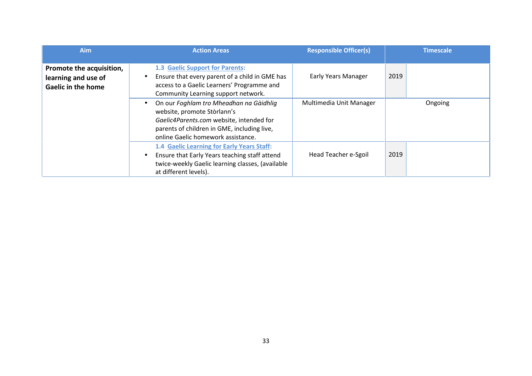| <b>Aim</b>                                                                   | <b>Action Areas</b>                                                                                                                                                                                                  | <b>Responsible Officer(s)</b> | <b>Timescale</b> |
|------------------------------------------------------------------------------|----------------------------------------------------------------------------------------------------------------------------------------------------------------------------------------------------------------------|-------------------------------|------------------|
| Promote the acquisition,<br>learning and use of<br><b>Gaelic in the home</b> | 1.3 Gaelic Support for Parents:<br>Ensure that every parent of a child in GME has<br>$\bullet$<br>access to a Gaelic Learners' Programme and<br>Community Learning support network.                                  | <b>Early Years Manager</b>    | 2019             |
|                                                                              | On our Foghlam tro Mheadhan na Gàidhlig<br>$\bullet$<br>website, promote Stòrlann's<br>Gaelic4Parents.com website, intended for<br>parents of children in GME, including live,<br>online Gaelic homework assistance. | Multimedia Unit Manager       | Ongoing          |
|                                                                              | 1.4 Gaelic Learning for Early Years Staff:<br>Ensure that Early Years teaching staff attend<br>$\bullet$<br>twice-weekly Gaelic learning classes, (available<br>at different levels).                                | Head Teacher e-Sgoil          | 2019             |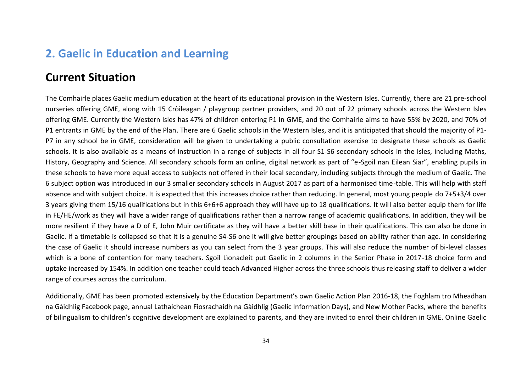### **2. Gaelic in Education and Learning**

### **Current Situation**

The Comhairle places Gaelic medium education at the heart of its educational provision in the Western Isles. Currently, there are 21 pre-school nurseries offering GME, along with 15 Cròileagan / playgroup partner providers, and 20 out of 22 primary schools across the Western Isles offering GME. Currently the Western Isles has 47% of children entering P1 In GME, and the Comhairle aims to have 55% by 2020, and 70% of P1 entrants in GME by the end of the Plan. There are 6 Gaelic schools in the Western Isles, and it is anticipated that should the majority of P1- P7 in any school be in GME, consideration will be given to undertaking a public consultation exercise to designate these schools as Gaelic schools. It is also available as a means of instruction in a range of subjects in all four S1-S6 secondary schools in the Isles, including Maths, History, Geography and Science. All secondary schools form an online, digital network as part of "e-Sgoil nan Eilean Siar", enabling pupils in these schools to have more equal access to subjects not offered in their local secondary, including subjects through the medium of Gaelic. The 6 subject option was introduced in our 3 smaller secondary schools in August 2017 as part of a harmonised time-table. This will help with staff absence and with subject choice. It is expected that this increases choice rather than reducing. In general, most young people do 7+5+3/4 over 3 years giving them 15/16 qualifications but in this 6+6+6 approach they will have up to 18 qualifications. It will also better equip them for life in FE/HE/work as they will have a wider range of qualifications rather than a narrow range of academic qualifications. In addition, they will be more resilient if they have a D of E, John Muir certificate as they will have a better skill base in their qualifications. This can also be done in Gaelic. If a timetable is collapsed so that it is a genuine S4-S6 one it will give better groupings based on ability rather than age. In considering the case of Gaelic it should increase numbers as you can select from the 3 year groups. This will also reduce the number of bi-level classes which is a bone of contention for many teachers. Sgoil Lìonacleit put Gaelic in 2 columns in the Senior Phase in 2017-18 choice form and uptake increased by 154%. In addition one teacher could teach Advanced Higher across the three schools thus releasing staff to deliver a wider range of courses across the curriculum.

Additionally, GME has been promoted extensively by the Education Department's own Gaelic Action Plan 2016-18, the Foghlam tro Mheadhan na Gàidhlig Facebook page, annual Lathaichean Fiosrachaidh na Gàidhlig (Gaelic Information Days), and New Mother Packs, where the benefits of bilingualism to children's cognitive development are explained to parents, and they are invited to enrol their children in GME. Online Gaelic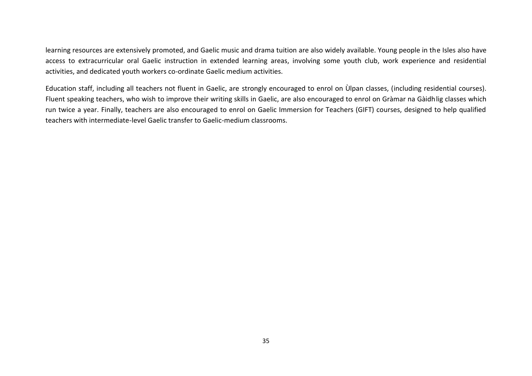learning resources are extensively promoted, and Gaelic music and drama tuition are also widely available. Young people in the Isles also have access to extracurricular oral Gaelic instruction in extended learning areas, involving some youth club, work experience and residential activities, and dedicated youth workers co-ordinate Gaelic medium activities.

Education staff, including all teachers not fluent in Gaelic, are strongly encouraged to enrol on Ùlpan classes, (including residential courses). Fluent speaking teachers, who wish to improve their writing skills in Gaelic, are also encouraged to enrol on Gràmar na Gàidhlig classes which run twice a year. Finally, teachers are also encouraged to enrol on Gaelic Immersion for Teachers (GIFT) courses, designed to help qualified teachers with intermediate-level Gaelic transfer to Gaelic-medium classrooms.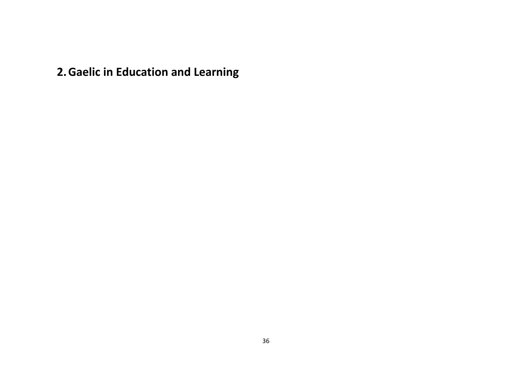**2.Gaelic in Education and Learning**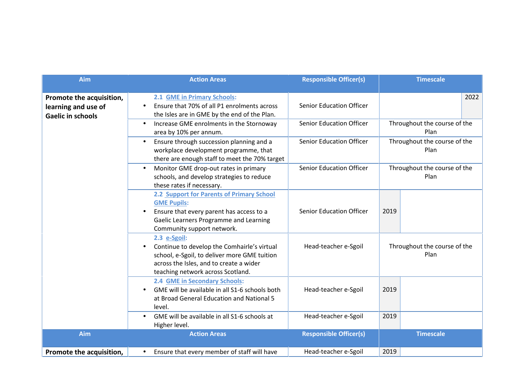| Aim                                                                         | <b>Action Areas</b>                                                                                                                                                                              | <b>Responsible Officer(s)</b>   |      | <b>Timescale</b>                     |
|-----------------------------------------------------------------------------|--------------------------------------------------------------------------------------------------------------------------------------------------------------------------------------------------|---------------------------------|------|--------------------------------------|
| Promote the acquisition,<br>learning and use of<br><b>Gaelic in schools</b> | 2.1 GME in Primary Schools:<br>Ensure that 70% of all P1 enrolments across<br>$\bullet$<br>the Isles are in GME by the end of the Plan.                                                          | <b>Senior Education Officer</b> |      | 2022                                 |
|                                                                             | Increase GME enrolments in the Stornoway<br>$\bullet$<br>area by 10% per annum.                                                                                                                  | <b>Senior Education Officer</b> |      | Throughout the course of the<br>Plan |
|                                                                             | Ensure through succession planning and a<br>$\bullet$<br>workplace development programme, that<br>there are enough staff to meet the 70% target                                                  | <b>Senior Education Officer</b> |      | Throughout the course of the<br>Plan |
|                                                                             | Monitor GME drop-out rates in primary<br>$\bullet$<br>schools, and develop strategies to reduce<br>these rates if necessary.                                                                     | <b>Senior Education Officer</b> |      | Throughout the course of the<br>Plan |
|                                                                             | 2.2 Support for Parents of Primary School<br><b>GME Pupils:</b><br>Ensure that every parent has access to a<br>$\bullet$<br>Gaelic Learners Programme and Learning<br>Community support network. | <b>Senior Education Officer</b> | 2019 |                                      |
|                                                                             | 2.3 e-Sgoil:<br>Continue to develop the Comhairle's virtual<br>school, e-Sgoil, to deliver more GME tuition<br>across the Isles, and to create a wider<br>teaching network across Scotland.      | Head-teacher e-Sgoil            |      | Throughout the course of the<br>Plan |
|                                                                             | 2.4 GME in Secondary Schools:<br>GME will be available in all S1-6 schools both<br>at Broad General Education and National 5<br>level.                                                           | Head-teacher e-Sgoil            | 2019 |                                      |
|                                                                             | GME will be available in all S1-6 schools at<br>$\bullet$<br>Higher level.                                                                                                                       | Head-teacher e-Sgoil            | 2019 |                                      |
| Aim                                                                         | <b>Action Areas</b>                                                                                                                                                                              | <b>Responsible Officer(s)</b>   |      | <b>Timescale</b>                     |
| Promote the acquisition,                                                    | Ensure that every member of staff will have<br>$\bullet$                                                                                                                                         | Head-teacher e-Sgoil            | 2019 |                                      |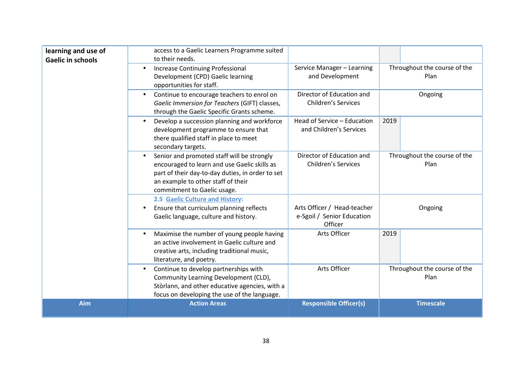| learning and use of<br><b>Gaelic in schools</b> | access to a Gaelic Learners Programme suited<br>to their needs.                                                                                                                                                                  |                                                                      |                                      |
|-------------------------------------------------|----------------------------------------------------------------------------------------------------------------------------------------------------------------------------------------------------------------------------------|----------------------------------------------------------------------|--------------------------------------|
|                                                 | <b>Increase Continuing Professional</b><br>$\bullet$<br>Development (CPD) Gaelic learning<br>opportunities for staff.                                                                                                            | Service Manager - Learning<br>and Development                        | Throughout the course of the<br>Plan |
|                                                 | Continue to encourage teachers to enrol on<br>$\bullet$<br>Gaelic Immersion for Teachers (GIFT) classes,<br>through the Gaelic Specific Grants scheme.                                                                           | Director of Education and<br><b>Children's Services</b>              | Ongoing                              |
|                                                 | Develop a succession planning and workforce<br>$\bullet$<br>development programme to ensure that<br>there qualified staff in place to meet<br>secondary targets.                                                                 | Head of Service - Education<br>and Children's Services               | 2019                                 |
|                                                 | Senior and promoted staff will be strongly<br>$\bullet$<br>encouraged to learn and use Gaelic skills as<br>part of their day-to-day duties, in order to set<br>an example to other staff of their<br>commitment to Gaelic usage. | Director of Education and<br><b>Children's Services</b>              | Throughout the course of the<br>Plan |
|                                                 | 2.5 Gaelic Culture and History:<br>Ensure that curriculum planning reflects<br>٠<br>Gaelic language, culture and history.                                                                                                        | Arts Officer / Head-teacher<br>e-Sgoil / Senior Education<br>Officer | Ongoing                              |
|                                                 | Maximise the number of young people having<br>$\bullet$<br>an active involvement in Gaelic culture and<br>creative arts, including traditional music,<br>literature, and poetry.                                                 | Arts Officer                                                         | 2019                                 |
|                                                 | Continue to develop partnerships with<br>$\bullet$<br>Community Learning Development (CLD),<br>Stòrlann, and other educative agencies, with a<br>focus on developing the use of the language.                                    | Arts Officer                                                         | Throughout the course of the<br>Plan |
| Aim                                             | <b>Action Areas</b>                                                                                                                                                                                                              | <b>Responsible Officer(s)</b>                                        | <b>Timescale</b>                     |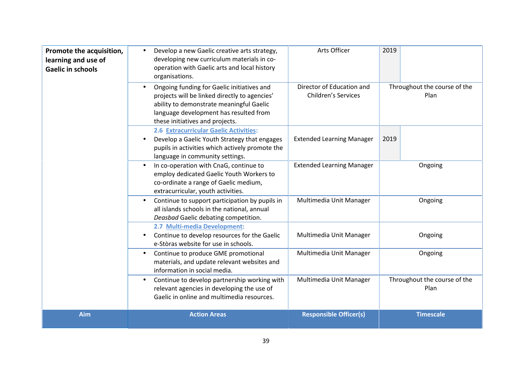| Promote the acquisition,<br>learning and use of<br><b>Gaelic in schools</b> | Develop a new Gaelic creative arts strategy,<br>$\bullet$<br>developing new curriculum materials in co-<br>operation with Gaelic arts and local history<br>organisations.                                                         | Arts Officer                                            | 2019                                 |
|-----------------------------------------------------------------------------|-----------------------------------------------------------------------------------------------------------------------------------------------------------------------------------------------------------------------------------|---------------------------------------------------------|--------------------------------------|
|                                                                             | Ongoing funding for Gaelic initiatives and<br>$\bullet$<br>projects will be linked directly to agencies'<br>ability to demonstrate meaningful Gaelic<br>language development has resulted from<br>these initiatives and projects. | Director of Education and<br><b>Children's Services</b> | Throughout the course of the<br>Plan |
|                                                                             | 2.6 Extracurricular Gaelic Activities:<br>Develop a Gaelic Youth Strategy that engages<br>$\bullet$<br>pupils in activities which actively promote the<br>language in community settings.                                         | <b>Extended Learning Manager</b>                        | 2019                                 |
|                                                                             | In co-operation with CnaG, continue to<br>employ dedicated Gaelic Youth Workers to<br>co-ordinate a range of Gaelic medium,<br>extracurricular, youth activities.                                                                 | <b>Extended Learning Manager</b>                        | Ongoing                              |
|                                                                             | Continue to support participation by pupils in<br>$\bullet$<br>all islands schools in the national, annual<br>Deasbad Gaelic debating competition.                                                                                | Multimedia Unit Manager                                 | Ongoing                              |
|                                                                             | 2.7 Multi-media Development:<br>Continue to develop resources for the Gaelic<br>$\bullet$<br>e-Stòras website for use in schools.                                                                                                 | Multimedia Unit Manager                                 | Ongoing                              |
|                                                                             | Continue to produce GME promotional<br>$\bullet$<br>materials, and update relevant websites and<br>information in social media.                                                                                                   | Multimedia Unit Manager                                 | Ongoing                              |
|                                                                             | Continue to develop partnership working with<br>$\bullet$<br>relevant agencies in developing the use of<br>Gaelic in online and multimedia resources.                                                                             | Multimedia Unit Manager                                 | Throughout the course of the<br>Plan |
| Aim                                                                         | <b>Action Areas</b>                                                                                                                                                                                                               | <b>Responsible Officer(s)</b>                           | <b>Timescale</b>                     |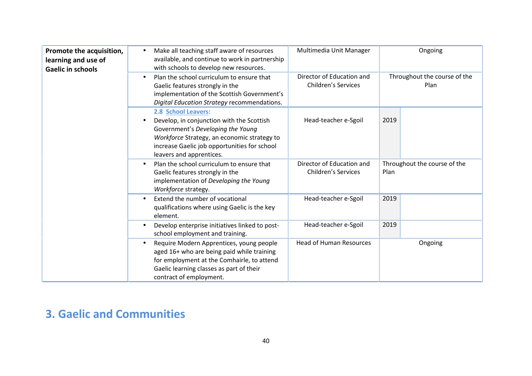| Promote the acquisition,<br>learning and use of<br><b>Gaelic in schools</b> | Make all teaching staff aware of resources<br>$\bullet$<br>available, and continue to work in partnership<br>with schools to develop new resources.                                                                                           | Multimedia Unit Manager                                 | Ongoing                              |
|-----------------------------------------------------------------------------|-----------------------------------------------------------------------------------------------------------------------------------------------------------------------------------------------------------------------------------------------|---------------------------------------------------------|--------------------------------------|
|                                                                             | Plan the school curriculum to ensure that<br>Gaelic features strongly in the<br>implementation of the Scottish Government's<br>Digital Education Strategy recommendations.                                                                    | Director of Education and<br><b>Children's Services</b> | Throughout the course of the<br>Plan |
|                                                                             | 2.8 School Leavers:<br>Develop, in conjunction with the Scottish<br>$\bullet$<br>Government's Developing the Young<br>Workforce Strategy, an economic strategy to<br>increase Gaelic job opportunities for school<br>leavers and apprentices. | Head-teacher e-Sgoil                                    | 2019                                 |
|                                                                             | Plan the school curriculum to ensure that<br>Gaelic features strongly in the<br>implementation of Developing the Young<br>Workforce strategy.                                                                                                 | Director of Education and<br><b>Children's Services</b> | Throughout the course of the<br>Plan |
|                                                                             | Extend the number of vocational<br>$\bullet$<br>qualifications where using Gaelic is the key<br>element.                                                                                                                                      | Head-teacher e-Sgoil                                    | 2019                                 |
|                                                                             | Develop enterprise initiatives linked to post-<br>$\bullet$<br>school employment and training.                                                                                                                                                | Head-teacher e-Sgoil                                    | 2019                                 |
|                                                                             | Require Modern Apprentices, young people<br>$\bullet$<br>aged 16+ who are being paid while training<br>for employment at the Comhairle, to attend<br>Gaelic learning classes as part of their<br>contract of employment.                      | <b>Head of Human Resources</b>                          | Ongoing                              |

# **3. Gaelic and Communities**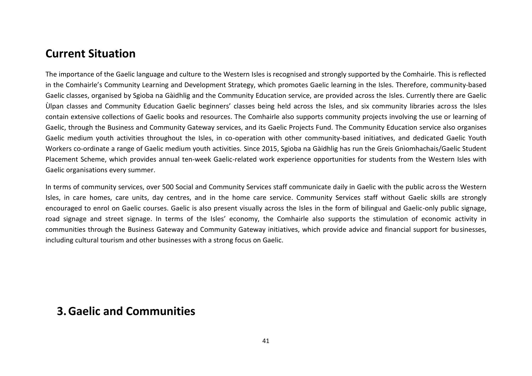### **Current Situation**

The importance of the Gaelic language and culture to the Western Isles is recognised and strongly supported by the Comhairle. This is reflected in the Comhairle's Community Learning and Development Strategy, which promotes Gaelic learning in the Isles. Therefore, community-based Gaelic classes, organised by Sgioba na Gàidhlig and the Community Education service, are provided across the Isles. Currently there are Gaelic Ùlpan classes and Community Education Gaelic beginners' classes being held across the Isles, and six community libraries across the Isles contain extensive collections of Gaelic books and resources. The Comhairle also supports community projects involving the use or learning of Gaelic, through the Business and Community Gateway services, and its Gaelic Projects Fund. The Community Education service also organises Gaelic medium youth activities throughout the Isles, in co-operation with other community-based initiatives, and dedicated Gaelic Youth Workers co-ordinate a range of Gaelic medium youth activities. Since 2015, Sgioba na Gàidhlig has run the Greis Gnìomhachais/Gaelic Student Placement Scheme, which provides annual ten-week Gaelic-related work experience opportunities for students from the Western Isles with Gaelic organisations every summer.

In terms of community services, over 500 Social and Community Services staff communicate daily in Gaelic with the public across the Western Isles, in care homes, care units, day centres, and in the home care service. Community Services staff without Gaelic skills are strongly encouraged to enrol on Gaelic courses. Gaelic is also present visually across the Isles in the form of bilingual and Gaelic-only public signage, road signage and street signage. In terms of the Isles' economy, the Comhairle also supports the stimulation of economic activity in communities through the Business Gateway and Community Gateway initiatives, which provide advice and financial support for businesses, including cultural tourism and other businesses with a strong focus on Gaelic.

### **3.Gaelic and Communities**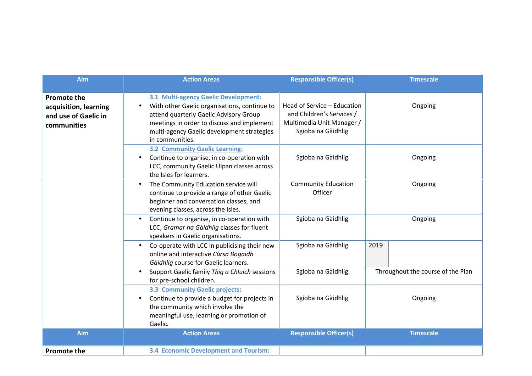| Aim                                                                                | <b>Action Areas</b>                                                                                                                                                                                                                           | <b>Responsible Officer(s)</b>                                                                               |         | <b>Timescale</b>                  |
|------------------------------------------------------------------------------------|-----------------------------------------------------------------------------------------------------------------------------------------------------------------------------------------------------------------------------------------------|-------------------------------------------------------------------------------------------------------------|---------|-----------------------------------|
| <b>Promote the</b><br>acquisition, learning<br>and use of Gaelic in<br>communities | 3.1 Multi-agency Gaelic Development:<br>With other Gaelic organisations, continue to<br>attend quarterly Gaelic Advisory Group<br>meetings in order to discuss and implement<br>multi-agency Gaelic development strategies<br>in communities. | Head of Service - Education<br>and Children's Services /<br>Multimedia Unit Manager /<br>Sgioba na Gàidhlig |         | Ongoing                           |
|                                                                                    | <b>3.2 Community Gaelic Learning:</b><br>Continue to organise, in co-operation with<br>$\bullet$<br>LCC, community Gaelic Ulpan classes across<br>the Isles for learners.                                                                     | Sgioba na Gàidhlig                                                                                          |         | Ongoing                           |
|                                                                                    | The Community Education service will<br>$\bullet$<br>continue to provide a range of other Gaelic<br>beginner and conversation classes, and<br>evening classes, across the Isles.                                                              | <b>Community Education</b><br>Officer                                                                       | Ongoing |                                   |
|                                                                                    | Continue to organise, in co-operation with<br>LCC, Gràmar na Gàidhlig classes for fluent<br>speakers in Gaelic organisations.                                                                                                                 | Sgioba na Gàidhlig                                                                                          |         | Ongoing                           |
|                                                                                    | Co-operate with LCC in publicising their new<br>$\bullet$<br>online and interactive Cùrsa Bogaidh<br>Gàidhlig course for Gaelic learners.                                                                                                     | Sgioba na Gàidhlig                                                                                          | 2019    |                                   |
|                                                                                    | Support Gaelic family Thig a Chluich sessions<br>for pre-school children.                                                                                                                                                                     | Sgioba na Gàidhlig                                                                                          |         | Throughout the course of the Plan |
|                                                                                    | 3.3 Community Gaelic projects:<br>Continue to provide a budget for projects in<br>the community which involve the<br>meaningful use, learning or promotion of<br>Gaelic.                                                                      | Sgioba na Gàidhlig                                                                                          |         | Ongoing                           |
| Aim                                                                                | <b>Action Areas</b>                                                                                                                                                                                                                           | <b>Responsible Officer(s)</b>                                                                               |         | <b>Timescale</b>                  |
| <b>Promote the</b>                                                                 | <b>3.4 Economic Development and Tourism:</b>                                                                                                                                                                                                  |                                                                                                             |         |                                   |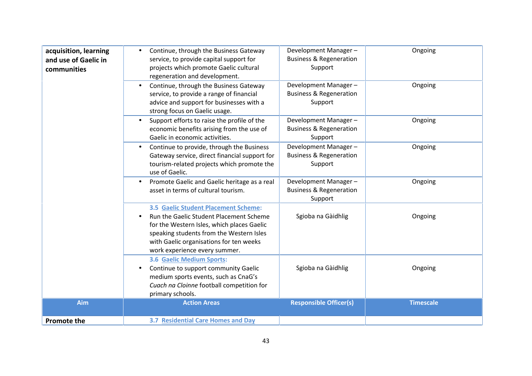| acquisition, learning<br>and use of Gaelic in<br>communities | Continue, through the Business Gateway<br>$\bullet$<br>service, to provide capital support for<br>projects which promote Gaelic cultural<br>regeneration and development.<br>Continue, through the Business Gateway<br>$\bullet$<br>service, to provide a range of financial<br>advice and support for businesses with a | Development Manager-<br><b>Business &amp; Regeneration</b><br>Support<br>Development Manager-<br><b>Business &amp; Regeneration</b><br>Support | Ongoing<br>Ongoing |
|--------------------------------------------------------------|--------------------------------------------------------------------------------------------------------------------------------------------------------------------------------------------------------------------------------------------------------------------------------------------------------------------------|------------------------------------------------------------------------------------------------------------------------------------------------|--------------------|
|                                                              | strong focus on Gaelic usage.<br>Support efforts to raise the profile of the<br>$\bullet$<br>economic benefits arising from the use of<br>Gaelic in economic activities.                                                                                                                                                 | Development Manager-<br><b>Business &amp; Regeneration</b><br>Support                                                                          | Ongoing            |
|                                                              | Continue to provide, through the Business<br>$\bullet$<br>Gateway service, direct financial support for<br>tourism-related projects which promote the<br>use of Gaelic.                                                                                                                                                  | Development Manager-<br><b>Business &amp; Regeneration</b><br>Support                                                                          | Ongoing            |
|                                                              | Promote Gaelic and Gaelic heritage as a real<br>$\bullet$<br>asset in terms of cultural tourism.                                                                                                                                                                                                                         | Development Manager-<br><b>Business &amp; Regeneration</b><br>Support                                                                          | Ongoing            |
|                                                              | 3.5 Gaelic Student Placement Scheme:<br>Run the Gaelic Student Placement Scheme<br>$\bullet$<br>for the Western Isles, which places Gaelic<br>speaking students from the Western Isles<br>with Gaelic organisations for ten weeks<br>work experience every summer.                                                       | Sgioba na Gàidhlig                                                                                                                             | Ongoing            |
|                                                              | 3.6 Gaelic Medium Sports:<br>Continue to support community Gaelic<br>$\bullet$<br>medium sports events, such as CnaG's<br>Cuach na Cloinne football competition for<br>primary schools.                                                                                                                                  | Sgioba na Gàidhlig                                                                                                                             | Ongoing            |
| Aim                                                          | <b>Action Areas</b>                                                                                                                                                                                                                                                                                                      | <b>Responsible Officer(s)</b>                                                                                                                  | <b>Timescale</b>   |
| <b>Promote the</b>                                           | 3.7 Residential Care Homes and Day                                                                                                                                                                                                                                                                                       |                                                                                                                                                |                    |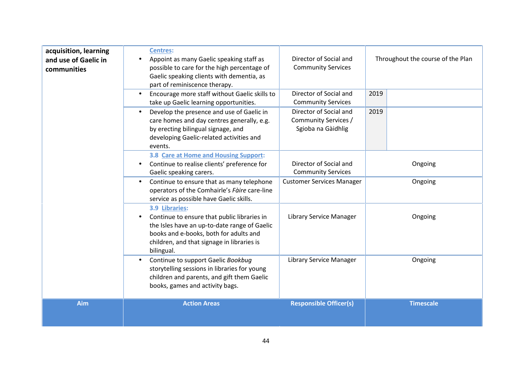| acquisition, learning<br>and use of Gaelic in<br>communities | <b>Centres:</b><br>Appoint as many Gaelic speaking staff as<br>possible to care for the high percentage of<br>Gaelic speaking clients with dementia, as<br>part of reminiscence therapy.                                         | Director of Social and<br><b>Community Services</b>                  | Throughout the course of the Plan |
|--------------------------------------------------------------|----------------------------------------------------------------------------------------------------------------------------------------------------------------------------------------------------------------------------------|----------------------------------------------------------------------|-----------------------------------|
|                                                              | Encourage more staff without Gaelic skills to<br>take up Gaelic learning opportunities.                                                                                                                                          | Director of Social and<br><b>Community Services</b>                  | 2019                              |
|                                                              | Develop the presence and use of Gaelic in<br>care homes and day centres generally, e.g.<br>by erecting bilingual signage, and<br>developing Gaelic-related activities and<br>events.                                             | Director of Social and<br>Community Services /<br>Sgioba na Gàidhlig | 2019                              |
|                                                              | 3.8 Care at Home and Housing Support:<br>Continue to realise clients' preference for<br>Gaelic speaking carers.                                                                                                                  | Director of Social and<br><b>Community Services</b>                  | Ongoing                           |
|                                                              | Continue to ensure that as many telephone<br>operators of the Comhairle's Fàire care-line<br>service as possible have Gaelic skills.                                                                                             | <b>Customer Services Manager</b>                                     | Ongoing                           |
|                                                              | 3.9 Libraries:<br>Continue to ensure that public libraries in<br>$\bullet$<br>the Isles have an up-to-date range of Gaelic<br>books and e-books, both for adults and<br>children, and that signage in libraries is<br>bilingual. | Library Service Manager                                              | Ongoing                           |
|                                                              | Continue to support Gaelic Bookbug<br>$\bullet$<br>storytelling sessions in libraries for young<br>children and parents, and gift them Gaelic<br>books, games and activity bags.                                                 | Library Service Manager                                              | Ongoing                           |
| Aim                                                          | <b>Action Areas</b>                                                                                                                                                                                                              | <b>Responsible Officer(s)</b>                                        | <b>Timescale</b>                  |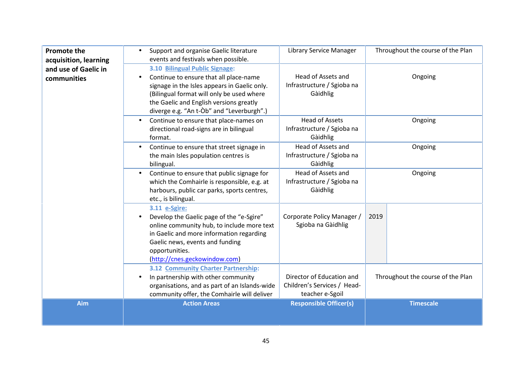| <b>Promote the</b><br>acquisition, learning | Support and organise Gaelic literature<br>$\bullet$<br>events and festivals when possible.                                                                                                                                                                                 | Library Service Manager                                                     | Throughout the course of the Plan |
|---------------------------------------------|----------------------------------------------------------------------------------------------------------------------------------------------------------------------------------------------------------------------------------------------------------------------------|-----------------------------------------------------------------------------|-----------------------------------|
| and use of Gaelic in<br>communities         | 3.10 Bilingual Public Signage:<br>Continue to ensure that all place-name<br>$\bullet$<br>signage in the Isles appears in Gaelic only.<br>(Bilingual format will only be used where<br>the Gaelic and English versions greatly<br>diverge e.g. "An t-Òb" and "Leverburgh".) | Head of Assets and<br>Infrastructure / Sgioba na<br>Gàidhlig                | Ongoing                           |
|                                             | Continue to ensure that place-names on<br>directional road-signs are in bilingual<br>format.                                                                                                                                                                               | <b>Head of Assets</b><br>Infrastructure / Sgioba na<br>Gàidhlig             | Ongoing                           |
|                                             | Continue to ensure that street signage in<br>$\bullet$<br>the main Isles population centres is<br>bilingual.                                                                                                                                                               | Head of Assets and<br>Infrastructure / Sgioba na<br>Gàidhlig                | Ongoing                           |
|                                             | Continue to ensure that public signage for<br>$\bullet$<br>which the Comhairle is responsible, e.g. at<br>harbours, public car parks, sports centres,<br>etc., is bilingual.                                                                                               | Head of Assets and<br>Infrastructure / Sgioba na<br>Gàidhlig                | Ongoing                           |
|                                             | 3.11 e-Sgìre:<br>Develop the Gaelic page of the "e-Sgìre"<br>$\bullet$<br>online community hub, to include more text<br>in Gaelic and more information regarding<br>Gaelic news, events and funding<br>opportunities.<br>(http://cnes.geckowindow.com)                     | Corporate Policy Manager /<br>Sgioba na Gàidhlig                            | 2019                              |
|                                             | 3.12 Community Charter Partnership:<br>In partnership with other community<br>organisations, and as part of an Islands-wide<br>community offer, the Comhairle will deliver                                                                                                 | Director of Education and<br>Children's Services / Head-<br>teacher e-Sgoil | Throughout the course of the Plan |
| Aim                                         | <b>Action Areas</b>                                                                                                                                                                                                                                                        | <b>Responsible Officer(s)</b>                                               | <b>Timescale</b>                  |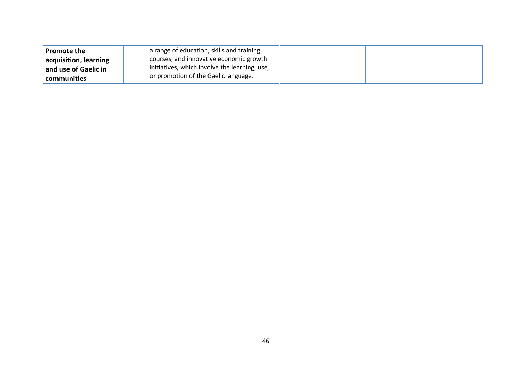| <b>Promote the</b>                            | a range of education, skills and training                                                |
|-----------------------------------------------|------------------------------------------------------------------------------------------|
| acquisition, learning<br>and use of Gaelic in | courses, and innovative economic growth<br>initiatives, which involve the learning, use, |
| communities                                   | or promotion of the Gaelic language.                                                     |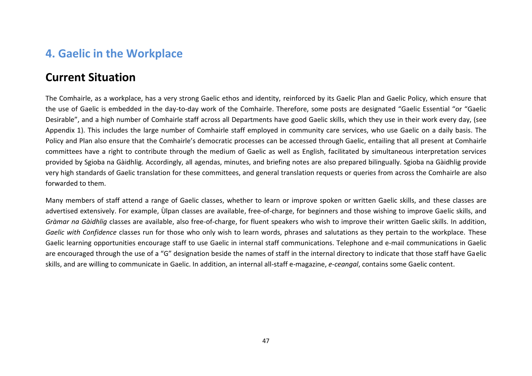## **4. Gaelic in the Workplace**

### **Current Situation**

The Comhairle, as a workplace, has a very strong Gaelic ethos and identity, reinforced by its Gaelic Plan and Gaelic Policy, which ensure that the use of Gaelic is embedded in the day-to-day work of the Comhairle. Therefore, some posts are designated "Gaelic Essential "or "Gaelic Desirable", and a high number of Comhairle staff across all Departments have good Gaelic skills, which they use in their work every day, (see Appendix 1). This includes the large number of Comhairle staff employed in community care services, who use Gaelic on a daily basis. The Policy and Plan also ensure that the Comhairle's democratic processes can be accessed through Gaelic, entailing that all present at Comhairle committees have a right to contribute through the medium of Gaelic as well as English, facilitated by simultaneous interpretation services provided by Sgioba na Gàidhlig. Accordingly, all agendas, minutes, and briefing notes are also prepared bilingually. Sgioba na Gàidhlig provide very high standards of Gaelic translation for these committees, and general translation requests or queries from across the Comhairle are also forwarded to them.

Many members of staff attend a range of Gaelic classes, whether to learn or improve spoken or written Gaelic skills, and these classes are advertised extensively. For example, Ùlpan classes are available, free-of-charge, for beginners and those wishing to improve Gaelic skills, and *Gràmar na Gàidhlig* classes are available, also free-of-charge, for fluent speakers who wish to improve their written Gaelic skills. In addition, *Gaelic with Confidence* classes run for those who only wish to learn words, phrases and salutations as they pertain to the workplace. These Gaelic learning opportunities encourage staff to use Gaelic in internal staff communications. Telephone and e-mail communications in Gaelic are encouraged through the use of a "G" designation beside the names of staff in the internal directory to indicate that those staff have Gaelic skills, and are willing to communicate in Gaelic. In addition, an internal all-staff e-magazine, *e-ceangal*, contains some Gaelic content.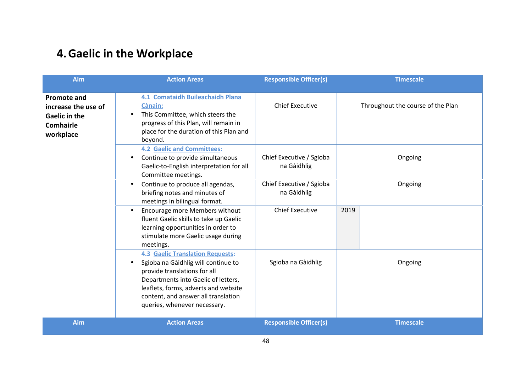# **4.Gaelic in the Workplace**

| <b>Aim</b>                                                                                         | <b>Action Areas</b>                                                                                                                                                                                                                                                  | <b>Responsible Officer(s)</b>           | <b>Timescale</b>                  |
|----------------------------------------------------------------------------------------------------|----------------------------------------------------------------------------------------------------------------------------------------------------------------------------------------------------------------------------------------------------------------------|-----------------------------------------|-----------------------------------|
| <b>Promote and</b><br>increase the use of<br><b>Gaelic in the</b><br><b>Comhairle</b><br>workplace | 4.1 Comataidh Buileachaidh Plana<br><b>Cànain:</b><br>This Committee, which steers the<br>progress of this Plan, will remain in<br>place for the duration of this Plan and<br>beyond.                                                                                | <b>Chief Executive</b>                  | Throughout the course of the Plan |
|                                                                                                    | <b>4.2 Gaelic and Committees:</b><br>Chief Executive / Sgioba<br>Continue to provide simultaneous<br>na Gàidhlig<br>Gaelic-to-English interpretation for all<br>Committee meetings.                                                                                  |                                         | Ongoing                           |
|                                                                                                    | Continue to produce all agendas,<br>$\bullet$<br>briefing notes and minutes of<br>meetings in bilingual format.                                                                                                                                                      | Chief Executive / Sgioba<br>na Gàidhlig | Ongoing                           |
|                                                                                                    | Encourage more Members without<br>$\bullet$<br>fluent Gaelic skills to take up Gaelic<br>learning opportunities in order to<br>stimulate more Gaelic usage during<br>meetings.                                                                                       | <b>Chief Executive</b>                  | 2019                              |
|                                                                                                    | <b>4.3 Gaelic Translation Requests:</b><br>Sgioba na Gàidhlig will continue to<br>provide translations for all<br>Departments into Gaelic of letters,<br>leaflets, forms, adverts and website<br>content, and answer all translation<br>queries, whenever necessary. | Sgioba na Gàidhlig                      | Ongoing                           |
| Aim                                                                                                | <b>Action Areas</b>                                                                                                                                                                                                                                                  | <b>Responsible Officer(s)</b>           | <b>Timescale</b>                  |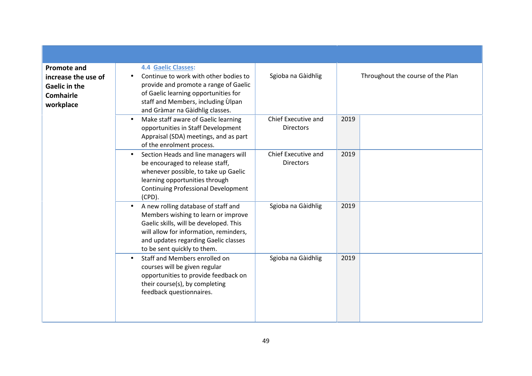| <b>Promote and</b><br>increase the use of<br><b>Gaelic in the</b><br><b>Comhairle</b><br>workplace | <b>4.4 Gaelic Classes:</b><br>Continue to work with other bodies to<br>provide and promote a range of Gaelic<br>of Gaelic learning opportunities for<br>staff and Members, including Ulpan<br>and Gràmar na Gàidhlig classes.                      | Sgioba na Gàidhlig                      | Throughout the course of the Plan |
|----------------------------------------------------------------------------------------------------|----------------------------------------------------------------------------------------------------------------------------------------------------------------------------------------------------------------------------------------------------|-----------------------------------------|-----------------------------------|
|                                                                                                    | Make staff aware of Gaelic learning<br>$\bullet$<br>opportunities in Staff Development<br>Appraisal (SDA) meetings, and as part<br>of the enrolment process.                                                                                       | Chief Executive and<br><b>Directors</b> | 2019                              |
|                                                                                                    | Section Heads and line managers will<br>be encouraged to release staff,<br>whenever possible, to take up Gaelic<br>learning opportunities through<br><b>Continuing Professional Development</b><br>(CPD).                                          | Chief Executive and<br><b>Directors</b> | 2019                              |
|                                                                                                    | A new rolling database of staff and<br>$\bullet$<br>Members wishing to learn or improve<br>Gaelic skills, will be developed. This<br>will allow for information, reminders,<br>and updates regarding Gaelic classes<br>to be sent quickly to them. | Sgioba na Gàidhlig                      | 2019                              |
|                                                                                                    | Staff and Members enrolled on<br>$\bullet$<br>courses will be given regular<br>opportunities to provide feedback on<br>their course(s), by completing<br>feedback questionnaires.                                                                  | Sgioba na Gàidhlig                      | 2019                              |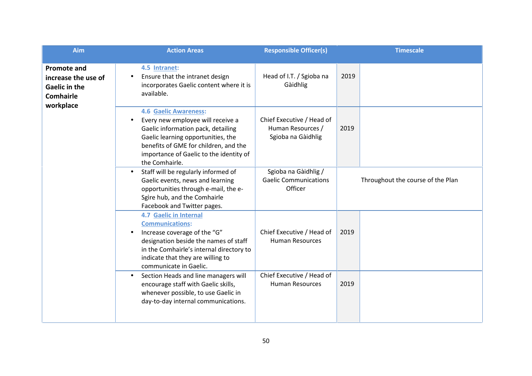| Aim                                                                                                | <b>Action Areas</b>                                                                                                                                                                                                                                      | <b>Responsible Officer(s)</b>                                        | <b>Timescale</b>                  |
|----------------------------------------------------------------------------------------------------|----------------------------------------------------------------------------------------------------------------------------------------------------------------------------------------------------------------------------------------------------------|----------------------------------------------------------------------|-----------------------------------|
| <b>Promote and</b><br>increase the use of<br><b>Gaelic in the</b><br><b>Comhairle</b><br>workplace | 4.5 Intranet:<br>Ensure that the intranet design<br>$\bullet$<br>incorporates Gaelic content where it is<br>available.                                                                                                                                   | Head of I.T. / Sgioba na<br>Gàidhlig                                 | 2019                              |
|                                                                                                    | <b>4.6 Gaelic Awareness:</b><br>Every new employee will receive a<br>Gaelic information pack, detailing<br>Gaelic learning opportunities, the<br>benefits of GME for children, and the<br>importance of Gaelic to the identity of<br>the Comhairle.      | Chief Executive / Head of<br>Human Resources /<br>Sgioba na Gàidhlig | 2019                              |
|                                                                                                    | Staff will be regularly informed of<br>$\bullet$<br>Gaelic events, news and learning<br>opportunities through e-mail, the e-<br>Sgìre hub, and the Comhairle<br>Facebook and Twitter pages.                                                              | Sgioba na Gàidhlig /<br><b>Gaelic Communications</b><br>Officer      | Throughout the course of the Plan |
|                                                                                                    | <b>4.7 Gaelic in Internal</b><br><b>Communications:</b><br>Increase coverage of the "G"<br>$\bullet$<br>designation beside the names of staff<br>in the Comhairle's internal directory to<br>indicate that they are willing to<br>communicate in Gaelic. | Chief Executive / Head of<br><b>Human Resources</b>                  | 2019                              |
|                                                                                                    | Section Heads and line managers will<br>$\bullet$<br>encourage staff with Gaelic skills,<br>whenever possible, to use Gaelic in<br>day-to-day internal communications.                                                                                   | Chief Executive / Head of<br><b>Human Resources</b>                  | 2019                              |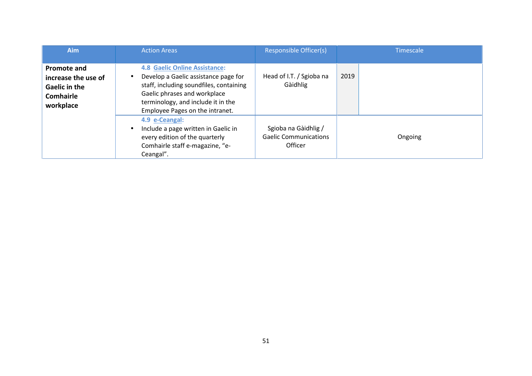| <b>Aim</b>                                                                                         | <b>Action Areas</b>                                                                                                                                                                                                                           | <b>Responsible Officer(s)</b>                                   | Timescale |
|----------------------------------------------------------------------------------------------------|-----------------------------------------------------------------------------------------------------------------------------------------------------------------------------------------------------------------------------------------------|-----------------------------------------------------------------|-----------|
| <b>Promote and</b><br>increase the use of<br><b>Gaelic in the</b><br><b>Comhairle</b><br>workplace | <b>4.8 Gaelic Online Assistance:</b><br>Develop a Gaelic assistance page for<br>$\bullet$<br>staff, including soundfiles, containing<br>Gaelic phrases and workplace<br>terminology, and include it in the<br>Employee Pages on the intranet. | Head of I.T. / Sgioba na<br>Gàidhlig                            | 2019      |
|                                                                                                    | 4.9 e-Ceangal:<br>Include a page written in Gaelic in<br>$\bullet$<br>every edition of the quarterly<br>Comhairle staff e-magazine, "e-<br>Ceangal".                                                                                          | Sgioba na Gàidhlig /<br><b>Gaelic Communications</b><br>Officer | Ongoing   |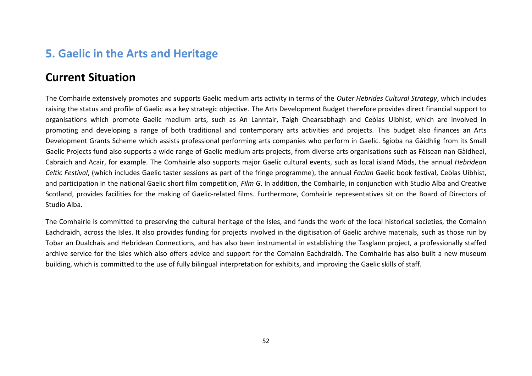## **5. Gaelic in the Arts and Heritage**

### **Current Situation**

The Comhairle extensively promotes and supports Gaelic medium arts activity in terms of the *Outer Hebrides Cultural Strategy*, which includes raising the status and profile of Gaelic as a key strategic objective. The Arts Development Budget therefore provides direct financial support to organisations which promote Gaelic medium arts, such as An Lanntair, Taigh Chearsabhagh and Ceòlas Uibhist, which are involved in promoting and developing a range of both traditional and contemporary arts activities and projects. This budget also finances an Arts Development Grants Scheme which assists professional performing arts companies who perform in Gaelic. Sgioba na Gàidhlig from its Small Gaelic Projects fund also supports a wide range of Gaelic medium arts projects, from diverse arts organisations such as Fèisean nan Gàidheal, Cabraich and Acair, for example. The Comhairle also supports major Gaelic cultural events, such as local island Mòds, the annual *Hebridean Celtic Festival*, (which includes Gaelic taster sessions as part of the fringe programme), the annual *Faclan* Gaelic book festival, Ceòlas Uibhist, and participation in the national Gaelic short film competition, *Film G*. In addition, the Comhairle, in conjunction with Studio Alba and Creative Scotland, provides facilities for the making of Gaelic-related films. Furthermore, Comhairle representatives sit on the Board of Directors of Studio Alba.

The Comhairle is committed to preserving the cultural heritage of the Isles, and funds the work of the local historical societies, the Comainn Eachdraidh, across the Isles. It also provides funding for projects involved in the digitisation of Gaelic archive materials, such as those run by Tobar an Dualchais and Hebridean Connections, and has also been instrumental in establishing the Tasglann project, a professionally staffed archive service for the Isles which also offers advice and support for the Comainn Eachdraidh. The Comhairle has also built a new museum building, which is committed to the use of fully bilingual interpretation for exhibits, and improving the Gaelic skills of staff.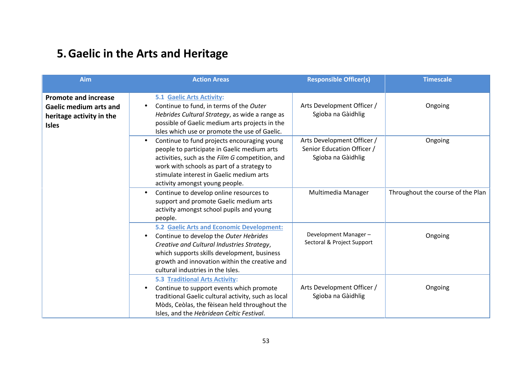# **5.Gaelic in the Arts and Heritage**

| Aim                                                                                                      | <b>Action Areas</b>                                                                                                                                                                                                                                                                        | <b>Responsible Officer(s)</b>                                                  | <b>Timescale</b>                  |
|----------------------------------------------------------------------------------------------------------|--------------------------------------------------------------------------------------------------------------------------------------------------------------------------------------------------------------------------------------------------------------------------------------------|--------------------------------------------------------------------------------|-----------------------------------|
| <b>Promote and increase</b><br><b>Gaelic medium arts and</b><br>heritage activity in the<br><b>Isles</b> | <b>5.1 Gaelic Arts Activity:</b><br>Continue to fund, in terms of the Outer<br>$\bullet$<br>Hebrides Cultural Strategy, as wide a range as<br>possible of Gaelic medium arts projects in the<br>Isles which use or promote the use of Gaelic.                                              | Arts Development Officer /<br>Sgioba na Gàidhlig                               | Ongoing                           |
|                                                                                                          | Continue to fund projects encouraging young<br>$\bullet$<br>people to participate in Gaelic medium arts<br>activities, such as the Film G competition, and<br>work with schools as part of a strategy to<br>stimulate interest in Gaelic medium arts<br>activity amongst young people.     | Arts Development Officer /<br>Senior Education Officer /<br>Sgioba na Gàidhlig | Ongoing                           |
|                                                                                                          | Continue to develop online resources to<br>$\bullet$<br>support and promote Gaelic medium arts<br>activity amongst school pupils and young<br>people.                                                                                                                                      | Multimedia Manager                                                             | Throughout the course of the Plan |
|                                                                                                          | <b>5.2 Gaelic Arts and Economic Development:</b><br>Continue to develop the Outer Hebrides<br>$\bullet$<br>Creative and Cultural Industries Strategy,<br>which supports skills development, business<br>growth and innovation within the creative and<br>cultural industries in the Isles. | Development Manager-<br>Sectoral & Project Support                             | Ongoing                           |
|                                                                                                          | <b>5.3 Traditional Arts Activity:</b><br>Continue to support events which promote<br>$\bullet$<br>traditional Gaelic cultural activity, such as local<br>Mòds, Ceòlas, the fèisean held throughout the<br>Isles, and the Hebridean Celtic Festival.                                        | Arts Development Officer /<br>Sgioba na Gàidhlig                               | Ongoing                           |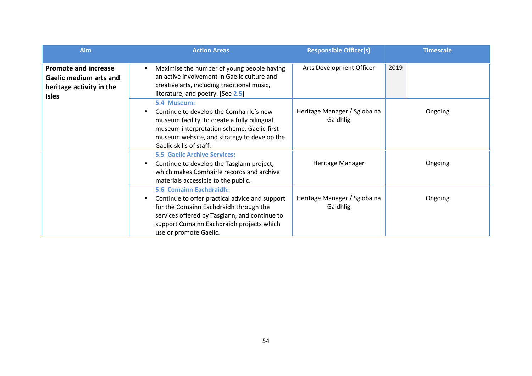| <b>Aim</b>                                                                                               | <b>Action Areas</b>                                                                                                                                                                                                                                      | <b>Responsible Officer(s)</b>            | <b>Timescale</b> |
|----------------------------------------------------------------------------------------------------------|----------------------------------------------------------------------------------------------------------------------------------------------------------------------------------------------------------------------------------------------------------|------------------------------------------|------------------|
| <b>Promote and increase</b><br><b>Gaelic medium arts and</b><br>heritage activity in the<br><b>Isles</b> | Maximise the number of young people having<br>$\bullet$<br>an active involvement in Gaelic culture and<br>creative arts, including traditional music,<br>literature, and poetry. [See 2.5]                                                               | Arts Development Officer                 | 2019             |
|                                                                                                          | 5.4 Museum:<br>Continue to develop the Comhairle's new<br>$\bullet$<br>museum facility, to create a fully bilingual<br>museum interpretation scheme, Gaelic-first<br>museum website, and strategy to develop the<br>Gaelic skills of staff.              | Heritage Manager / Sgioba na<br>Gàidhlig | Ongoing          |
|                                                                                                          | <b>5.5 Gaelic Archive Services:</b><br>Continue to develop the Tasglann project,<br>$\bullet$<br>which makes Comhairle records and archive<br>materials accessible to the public.                                                                        | Heritage Manager                         | Ongoing          |
|                                                                                                          | 5.6 Comainn Eachdraidh:<br>Continue to offer practical advice and support<br>$\bullet$<br>for the Comainn Eachdraidh through the<br>services offered by Tasglann, and continue to<br>support Comainn Eachdraidh projects which<br>use or promote Gaelic. | Heritage Manager / Sgioba na<br>Gàidhlig | Ongoing          |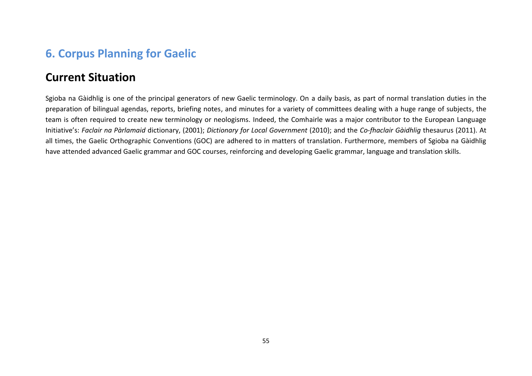## **6. Corpus Planning for Gaelic**

### **Current Situation**

Sgioba na Gàidhlig is one of the principal generators of new Gaelic terminology. On a daily basis, as part of normal translation duties in the preparation of bilingual agendas, reports, briefing notes, and minutes for a variety of committees dealing with a huge range of subjects, the team is often required to create new terminology or neologisms. Indeed, the Comhairle was a major contributor to the European Language Initiative's: *Faclair na Pàrlamaid* dictionary, (2001); *Dictionary for Local Government* (2010); and the *Co-fhaclair Gàidhlig* thesaurus (2011). At all times, the Gaelic Orthographic Conventions (GOC) are adhered to in matters of translation. Furthermore, members of Sgioba na Gàidhlig have attended advanced Gaelic grammar and GOC courses, reinforcing and developing Gaelic grammar, language and translation skills.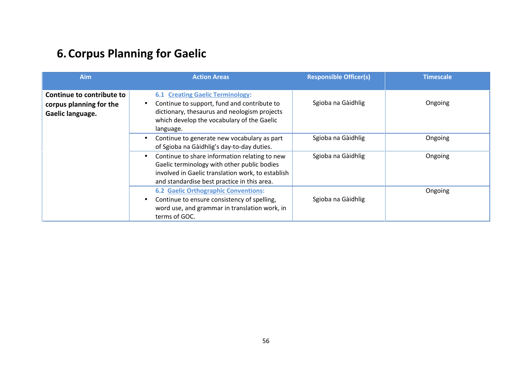# **6.Corpus Planning for Gaelic**

| Aim                                                                      | <b>Action Areas</b>                                                                                                                                                                                            | <b>Responsible Officer(s)</b> | <b>Timescale</b> |
|--------------------------------------------------------------------------|----------------------------------------------------------------------------------------------------------------------------------------------------------------------------------------------------------------|-------------------------------|------------------|
| Continue to contribute to<br>corpus planning for the<br>Gaelic language. | <b>6.1 Creating Gaelic Terminology:</b><br>Continue to support, fund and contribute to<br>$\bullet$<br>dictionary, thesaurus and neologism projects<br>which develop the vocabulary of the Gaelic<br>language. | Sgioba na Gàidhlig            | Ongoing          |
|                                                                          | Continue to generate new vocabulary as part<br>$\bullet$<br>of Sgioba na Gàidhlig's day-to-day duties.                                                                                                         | Sgioba na Gàidhlig            | Ongoing          |
|                                                                          | Continue to share information relating to new<br>$\bullet$<br>Gaelic terminology with other public bodies<br>involved in Gaelic translation work, to establish<br>and standardise best practice in this area.  | Sgioba na Gàidhlig            | Ongoing          |
|                                                                          | <b>6.2 Gaelic Orthographic Conventions:</b><br>Continue to ensure consistency of spelling,<br>$\bullet$<br>word use, and grammar in translation work, in<br>terms of GOC.                                      | Sgioba na Gàidhlig            | Ongoing          |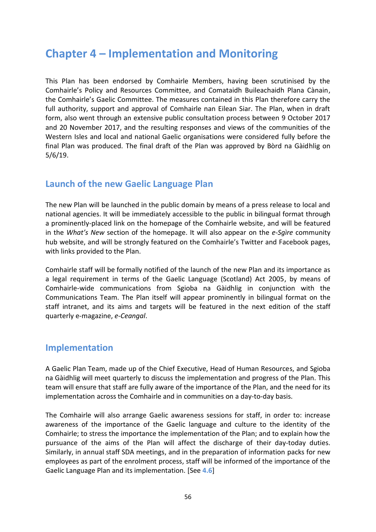# **Chapter 4 – Implementation and Monitoring**

This Plan has been endorsed by Comhairle Members, having been scrutinised by the Comhairle's Policy and Resources Committee, and Comataidh Buileachaidh Plana Cànain, the Comhairle's Gaelic Committee. The measures contained in this Plan therefore carry the full authority, support and approval of Comhairle nan Eilean Siar. The Plan, when in draft form, also went through an extensive public consultation process between 9 October 2017 and 20 November 2017, and the resulting responses and views of the communities of the Western Isles and local and national Gaelic organisations were considered fully before the final Plan was produced. The final draft of the Plan was approved by Bòrd na Gàidhlig on 5/6/19.

### **Launch of the new Gaelic Language Plan**

The new Plan will be launched in the public domain by means of a press release to local and national agencies. It will be immediately accessible to the public in bilingual format through a prominently-placed link on the homepage of the Comhairle website, and will be featured in the *What's New* section of the homepage. It will also appear on the *e-Sgìre* community hub website, and will be strongly featured on the Comhairle's Twitter and Facebook pages, with links provided to the Plan.

Comhairle staff will be formally notified of the launch of the new Plan and its importance as a legal requirement in terms of the Gaelic Language (Scotland) Act 2005, by means of Comhairle-wide communications from Sgioba na Gàidhlig in conjunction with the Communications Team. The Plan itself will appear prominently in bilingual format on the staff intranet, and its aims and targets will be featured in the next edition of the staff quarterly e-magazine, *e-Ceangal*.

#### **Implementation**

A Gaelic Plan Team, made up of the Chief Executive, Head of Human Resources, and Sgioba na Gàidhlig will meet quarterly to discuss the implementation and progress of the Plan. This team will ensure that staff are fully aware of the importance of the Plan, and the need for its implementation across the Comhairle and in communities on a day-to-day basis.

The Comhairle will also arrange Gaelic awareness sessions for staff, in order to: increase awareness of the importance of the Gaelic language and culture to the identity of the Comhairle; to stress the importance the implementation of the Plan; and to explain how the pursuance of the aims of the Plan will affect the discharge of their day-today duties. Similarly, in annual staff SDA meetings, and in the preparation of information packs for new employees as part of the enrolment process, staff will be informed of the importance of the Gaelic Language Plan and its implementation. [See **4.6**]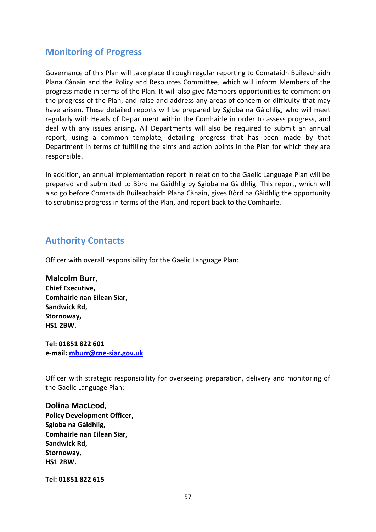### **Monitoring of Progress**

Governance of this Plan will take place through regular reporting to Comataidh Buileachaidh Plana Cànain and the Policy and Resources Committee, which will inform Members of the progress made in terms of the Plan. It will also give Members opportunities to comment on the progress of the Plan, and raise and address any areas of concern or difficulty that may have arisen. These detailed reports will be prepared by Sgioba na Gàidhlig, who will meet regularly with Heads of Department within the Comhairle in order to assess progress, and deal with any issues arising. All Departments will also be required to submit an annual report, using a common template, detailing progress that has been made by that Department in terms of fulfilling the aims and action points in the Plan for which they are responsible.

In addition, an annual implementation report in relation to the Gaelic Language Plan will be prepared and submitted to Bòrd na Gàidhlig by Sgioba na Gàidhlig. This report, which will also go before Comataidh Buileachaidh Plana Cànain, gives Bòrd na Gàidhlig the opportunity to scrutinise progress in terms of the Plan, and report back to the Comhairle.

### **Authority Contacts**

Officer with overall responsibility for the Gaelic Language Plan:

**Malcolm Burr, Chief Executive, Comhairle nan Eilean Siar, Sandwick Rd, Stornoway, HS1 2BW.**

**Tel: 01851 822 601 e-mail: mburr@cne-siar.gov.uk**

Officer with strategic responsibility for overseeing preparation, delivery and monitoring of the Gaelic Language Plan:

**Dolina MacLeod, Policy Development Officer, Sgioba na Gàidhlig, Comhairle nan Eilean Siar, Sandwick Rd, Stornoway, HS1 2BW.**

**Tel: 01851 822 615**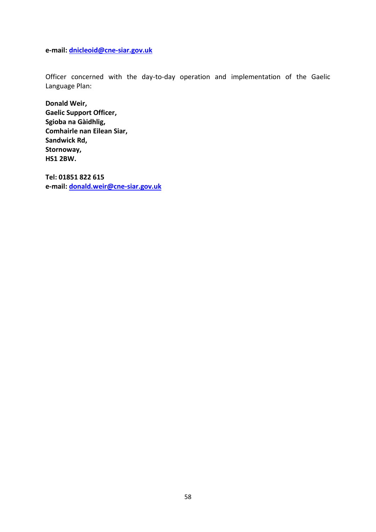**e-mail: dnicleoid@cne-siar.gov.uk**

Officer concerned with the day-to-day operation and implementation of the Gaelic Language Plan:

**Donald Weir, Gaelic Support Officer, Sgioba na Gàidhlig, Comhairle nan Eilean Siar, Sandwick Rd, Stornoway, HS1 2BW.**

**Tel: 01851 822 615 e-mail: donald.weir@cne-siar.gov.uk**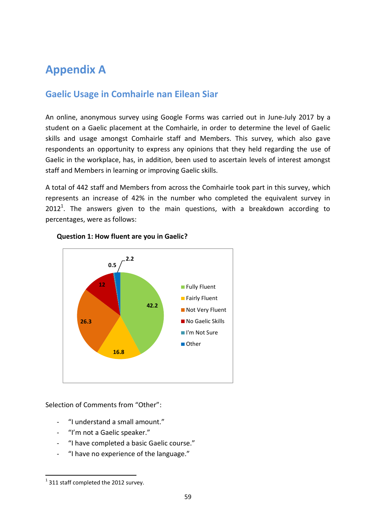# **Appendix A**

### **Gaelic Usage in Comhairle nan Eilean Siar**

An online, anonymous survey using Google Forms was carried out in June-July 2017 by a student on a Gaelic placement at the Comhairle, in order to determine the level of Gaelic skills and usage amongst Comhairle staff and Members. This survey, which also gave respondents an opportunity to express any opinions that they held regarding the use of Gaelic in the workplace, has, in addition, been used to ascertain levels of interest amongst staff and Members in learning or improving Gaelic skills.

A total of 442 staff and Members from across the Comhairle took part in this survey, which represents an increase of 42% in the number who completed the equivalent survey in  $2012<sup>1</sup>$ . The answers given to the main questions, with a breakdown according to percentages, were as follows:



#### **Question 1: How fluent are you in Gaelic?**

Selection of Comments from "Other":

- "I understand a small amount."
- "I'm not a Gaelic speaker."
- "I have completed a basic Gaelic course."
- "I have no experience of the language."

 $1$  311 staff completed the 2012 survey.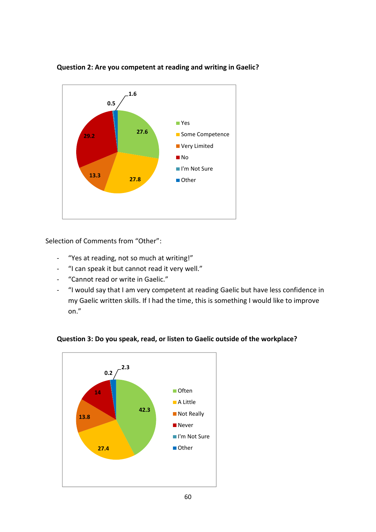

**Question 2: Are you competent at reading and writing in Gaelic?**

Selection of Comments from "Other":

- "Yes at reading, not so much at writing!"
- "I can speak it but cannot read it very well."
- "Cannot read or write in Gaelic."
- "I would say that I am very competent at reading Gaelic but have less confidence in my Gaelic written skills. If I had the time, this is something I would like to improve on."



#### **Question 3: Do you speak, read, or listen to Gaelic outside of the workplace?**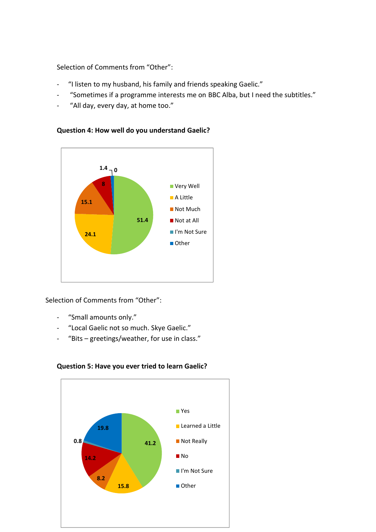Selection of Comments from "Other":

- "I listen to my husband, his family and friends speaking Gaelic."
- "Sometimes if a programme interests me on BBC Alba, but I need the subtitles."
- "All day, every day, at home too."



#### **Question 4: How well do you understand Gaelic?**

Selection of Comments from "Other":

- "Small amounts only."
- "Local Gaelic not so much. Skye Gaelic."
- "Bits greetings/weather, for use in class."



#### **Question 5: Have you ever tried to learn Gaelic?**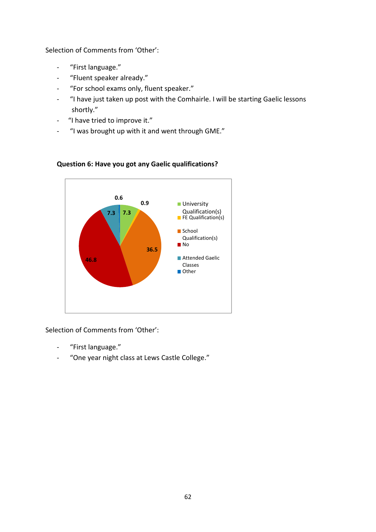Selection of Comments from 'Other':

- "First language."
- "Fluent speaker already."
- "For school exams only, fluent speaker."
- "I have just taken up post with the Comhairle. I will be starting Gaelic lessons shortly."
- "I have tried to improve it."
- "I was brought up with it and went through GME."



#### **Question 6: Have you got any Gaelic qualifications?**

Selection of Comments from 'Other':

- "First language."
- "One year night class at Lews Castle College."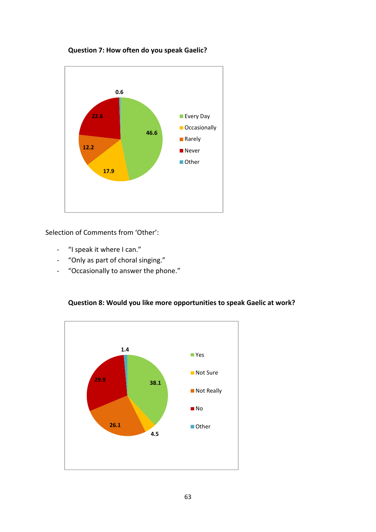



Selection of Comments from 'Other':

- "I speak it where I can."
- "Only as part of choral singing."
- "Occasionally to answer the phone."

#### **Question 8: Would you like more opportunities to speak Gaelic at work?**

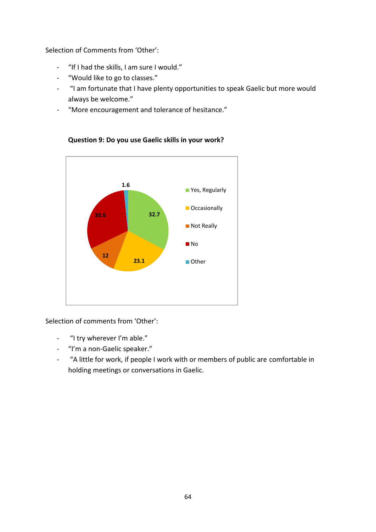Selection of Comments from 'Other':

- "If I had the skills, I am sure I would."
- "Would like to go to classes."
- "I am fortunate that I have plenty opportunities to speak Gaelic but more would always be welcome."
- "More encouragement and tolerance of hesitance."



**Question 9: Do you use Gaelic skills in your work?**

Selection of comments from 'Other':

- "I try wherever I'm able."
- "I'm a non-Gaelic speaker."
- "A little for work, if people I work with or members of public are comfortable in holding meetings or conversations in Gaelic.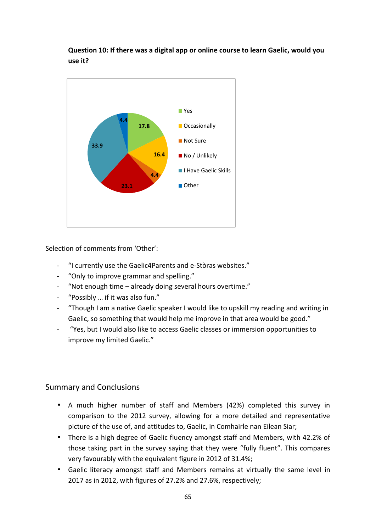**Question 10: If there was a digital app or online course to learn Gaelic, would you use it?**



Selection of comments from 'Other':

- "I currently use the Gaelic4Parents and e-Stòras websites."
- "Only to improve grammar and spelling."
- "Not enough time already doing several hours overtime."
- "Possibly ... if it was also fun."
- "Though I am a native Gaelic speaker I would like to upskill my reading and writing in Gaelic, so something that would help me improve in that area would be good."
- "Yes, but I would also like to access Gaelic classes or immersion opportunities to improve my limited Gaelic."

#### Summary and Conclusions

- A much higher number of staff and Members (42%) completed this survey in comparison to the 2012 survey, allowing for a more detailed and representative picture of the use of, and attitudes to, Gaelic, in Comhairle nan Eilean Siar;
- There is a high degree of Gaelic fluency amongst staff and Members, with 42.2% of those taking part in the survey saying that they were "fully fluent". This compares very favourably with the equivalent figure in 2012 of 31.4%;
- Gaelic literacy amongst staff and Members remains at virtually the same level in 2017 as in 2012, with figures of 27.2% and 27.6%, respectively;